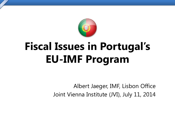

# **Fiscal Issues in Portugal's EU-IMF Program**

Albert Jaeger, IMF, Lisbon Office Joint Vienna Institute (JVI), July 11, 2014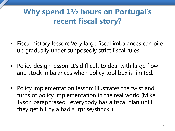## **Why spend 1½ hours on Portugal's recent fiscal story?**

- Fiscal history lesson: Very large fiscal imbalances can pile up gradually under supposedly strict fiscal rules.
- Policy design lesson: It's difficult to deal with large flow and stock imbalances when policy tool box is limited.
- Policy implementation lesson: Illustrates the twist and turns of policy implementation in the real world (Mike Tyson paraphrased: "everybody has a fiscal plan until they get hit by a bad surprise/shock").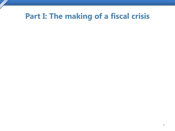## **Part I: The making of a fiscal crisis**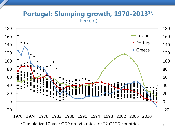#### **Portugal: Slumping growth, 1970-20131\** (Percent)



<sup>1</sup>\ Cumulative 10-year GDP growth rates for 22 OECD countries.  $44$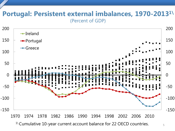#### **Portugal: Persistent external imbalances, 1970-20131\** (Percent of GDP)



<sup>1\</sup> Cumulative 10-year current account balance for 22 OECD countries.  $\frac{5}{10}$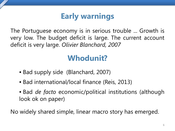## **Early warnings**

The Portuguese economy is in serious trouble ... Growth is very low. The budget deficit is large. The current account deficit is very large. *Olivier Blanchard, 2007*

## **Whodunit?**

- Bad supply side (Blanchard, 2007)
- Bad international/local finance (Reis, 2013)
- Bad *de facto* economic/political institutions (although look ok on paper)

No widely shared simple, linear macro story has emerged.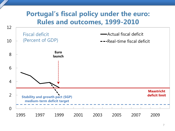### **Portugal's fiscal policy under the euro: Rules and outcomes, 1999-2010**

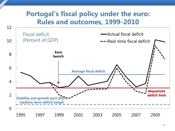### **Portugal's fiscal policy under the euro: Rules and outcomes, 1999-2010**

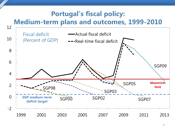### **Portugal's fiscal policy: Medium-term plans and outcomes, 1999-2010**

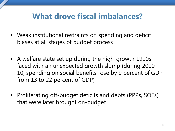## **What drove fiscal imbalances?**

- Weak institutional restraints on spending and deficit biases at all stages of budget process
- A welfare state set up during the high-growth 1990s faced with an unexpected growth slump (during 2000- 10, spending on social benefits rose by 9 percent of GDP, from 13 to 22 percent of GDP)
- Proliferating off-budget deficits and debts (PPPs, SOEs) that were later brought on-budget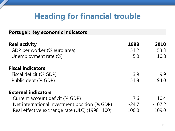## **Heading for financial trouble**

| <b>Portugal: Key economic indicators</b>      |         |          |
|-----------------------------------------------|---------|----------|
| <b>Real activity</b>                          | 1998    | 2010     |
| GDP per worker (% euro area)                  | 51.2    | 53.3     |
| Unemployment rate (%)                         | 5.0     | 10.8     |
| <b>Fiscal indicators</b>                      |         |          |
| Fiscal deficit (% GDP)                        | 3.9     | 9.9      |
| Public debt (% GDP)                           | 51.8    | 94.0     |
| <b>External indicators</b>                    |         |          |
| Current account deficit (% GDP)               | 7.6     | 10.4     |
| Net international investment position (% GDP) | $-24.7$ | $-107.2$ |
| Real effective exchange rate (ULC) (1998=100) | 100.0   | 109.0    |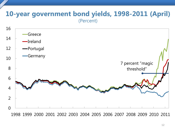#### **10-year government bond yields, 1998-2011 (April)** (Percent)



1998 1999 2000 2001 2002 2003 2004 2005 2006 2007 2008 2009 2010 2011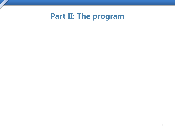**Part II: The program**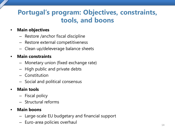### **Portugal's program: Objectives, constraints, tools, and boons**

#### • **Main objectives**

- Restore /anchor fiscal discipline
- Restore external competitiveness
- Clean up/deleverage balance sheets

#### • **Main constraints**

- Monetary union (fixed exchange rate)
- High public and private debts
- Constitution
- Social and political consensus

#### • **Main tools**

- Fiscal policy
- Structural reforms

#### • **Main boons**

- Large-scale EU budgetary and financial support
- Euro-area policies overhaul and the set of the set of the set of the set of the set of the set of the set of the set of the set of the set of the set of the set of the set of the set of the set of the set of the set of the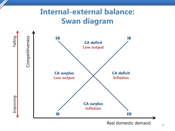## **Internal-external balance: Swan diagram**

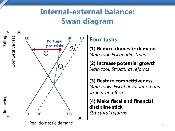## **Internal-external balance: Swan diagram**



**Four tasks:**

**(1) Reduce domestic demand** *Main tool: Fiscal adjustment*

**(2) Increase potential growth** *Main tool: Structural reforms*

**(3) Restore competitiveness** *Main tools: Fiscal devaluation and structural reforms*

**(4) Make fiscal and financial discipline stick**  *Structural reforms*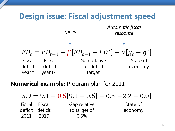

**Numerical example:** Program plan for 2011

Fiscal deficit deficit 2011 Fiscal 2010 Gap relative to target of 0.5% State of economy  $5.9 = 9.1 - 0.5[9.1 - 0.5] - 0.5[-2.2 - 0.0]$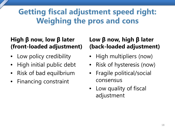## **Getting fiscal adjustment speed right: Weighing the pros and cons**

#### **High β now, low β later (front-loaded adjustment)**

- Low policy credibility
- High initial public debt
- Risk of bad equilbrium
- Financing constraint

#### **Low β now, high β later (back-loaded adjustment)**

- High multipliers (now)
- Risk of hysteresis (now)
- Fragile political/social consensus
- Low quality of fiscal adjustment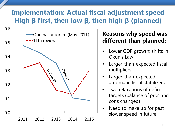### **Implementation: Actual fiscal adjustment speed High β first, then low β, then high β (planned)**



#### **Reasons why speed was different than planned:**

- Lower GDP growth; shifts in Okun's Law
- Larger-than-expected fiscal multipliers
- Larger-than-expected automatic fiscal stabilizers
- Two relaxations of deficit targets (balance of pros and cons changed)
- Need to make up for past slower speed in future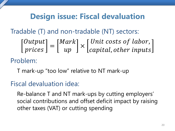## **Design issue: Fiscal devaluation**

Tradable (T) and non-tradable (NT) sectors:

Problem:  $\begin{array}{c} \hline \end{array}$ Outpu  $\int$ rices  $\rfloor$  =  $\lfloor$ Mark  $\vert$   $\times$   $\vert$ Unit costs of labor, , other inputs  $\lfloor$ 

T mark-up "too low" relative to NT mark-up

Fiscal devaluation idea:

Re-balance T and NT mark-ups by cutting employers' social contributions and offset deficit impact by raising other taxes (VAT) or cutting spending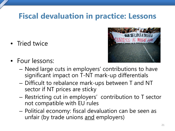## **Fiscal devaluation in practice: Lessons**

• Tried twice



- Four lessons:
	- Need large cuts in employers' contributions to have significant impact on T-NT mark-up differentials
	- Difficult to rebalance mark-ups between T and NT sector if NT prices are sticky
	- Restricting cut in employers' contribution to T sector not compatible with EU rules
	- Political economy: fiscal devaluation can be seen as unfair (by trade unions and employers)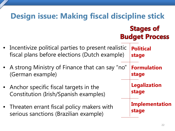#### **Design issue: Making fiscal discipline stick Stages of Budget Process** • Incentivize political parties to present realistic **Political** fiscal plans before elections (Dutch example) **stage** • A strong Ministry of Finance that can say "no" **Formulation** (German example) **stage Legalization** • Anchor specific fiscal targets in the **stage** Constitution (Irish/Spanish examples) **Implementation** • Threaten errant fiscal policy makers with **stage** serious sanctions (Brazilian example)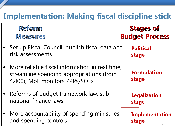## **Implementation: Making fiscal discipline stick**

Reform Measures

### **Stages of Budget Process**

**Formulation**

**Legalization**

**Implementation**

**stage**

**stage**

**stage**

- Set up Fiscal Council; publish fiscal data and risk assessments **Political stage**
- More reliable fiscal information in real time; streamline spending appropriations (from 4,400); MoF monitors PPPs/SOEs
- Reforms of budget framework law, subnational finance laws
- More accountability of spending ministries and spending controls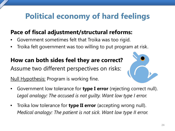## **Political economy of hard feelings**

### **Pace of fiscal adjustment/structural reforms:**

- Government sometimes felt that Troika was too rigid.
- Troika felt government was too willing to put program at risk.

#### **How can both sides feel they are correct?**

Assume two different perspectives on risks:

Null Hypothesis: Program is working fine.

- Government low tolerance for **type I error** (rejecting correct null). *Legal analogy: The accused is not guilty. Want low type I error.*
- Troika low tolerance for **type II error** (accepting wrong null). *Medical analogy: The patient is not sick. Want low type II error.*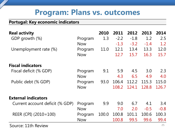## **Program: Plans vs. outcomes**

#### **Portugal: Key economic indicators**

| <b>Real activity</b>            |            | 2010  | 2011   | 2012   | 2013   | 2014   |
|---------------------------------|------------|-------|--------|--------|--------|--------|
| GDP growth (%)                  | Program    | 1.3   | $-2.2$ | $-1.8$ | 1.2    | 2.5    |
|                                 | <b>Now</b> |       | $-1.3$ | $-3.2$ | $-1.4$ | 1.2    |
| Unemployment rate (%)           | Program    | 11.0  | 12.1   | 13.4   | 13.3   | 12.0   |
|                                 | <b>Now</b> |       | 12.7   | 15.7   | 16.3   | 15.7   |
| <b>Fiscal indicators</b>        |            |       |        |        |        |        |
| Fiscal deficit (% GDP)          | Program    | 9.1   | 5.9    | 4.5    | 3.0    | 2.3    |
|                                 | <b>Now</b> |       | 4.3    | 6.5    | 4.9    | 4.0    |
| Public debt (% GDP)             | Program    | 93.0  | 106.4  | 112.2  | 115.3  | 115.0  |
|                                 | <b>Now</b> |       | 108.2  | 124.1  | 128.8  | 126.7  |
| <b>External indicators</b>      |            |       |        |        |        |        |
| Current account deficit (% GDP) | Program    | 9.9   | 9.0    | 6.7    | 4.1    | 3.4    |
|                                 | <b>Now</b> |       | 7.0    | 2.0    | $-0.5$ | $-0.8$ |
| REER (CPI) (2010=100)           | Program    | 100.0 | 100.8  | 101.1  | 100.6  | 100.3  |
|                                 | <b>Now</b> |       | 100.8  | 99.5   | 99.6   | 99.4   |
|                                 |            |       |        |        |        |        |

Source: 11th Review 25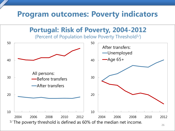## **Program outcomes: Poverty indicators**

**Portugal: Risk of Poverty, 2004-2012**

(Percent of Population below Poverty Threshold $1/$ )

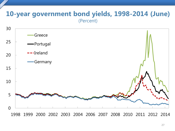#### **10-year government bond yields, 1998-2014 (June)** (Percent)



1998 1999 2000 2002 2003 2004 2006 2007 2008 2010 2011 2012 2014